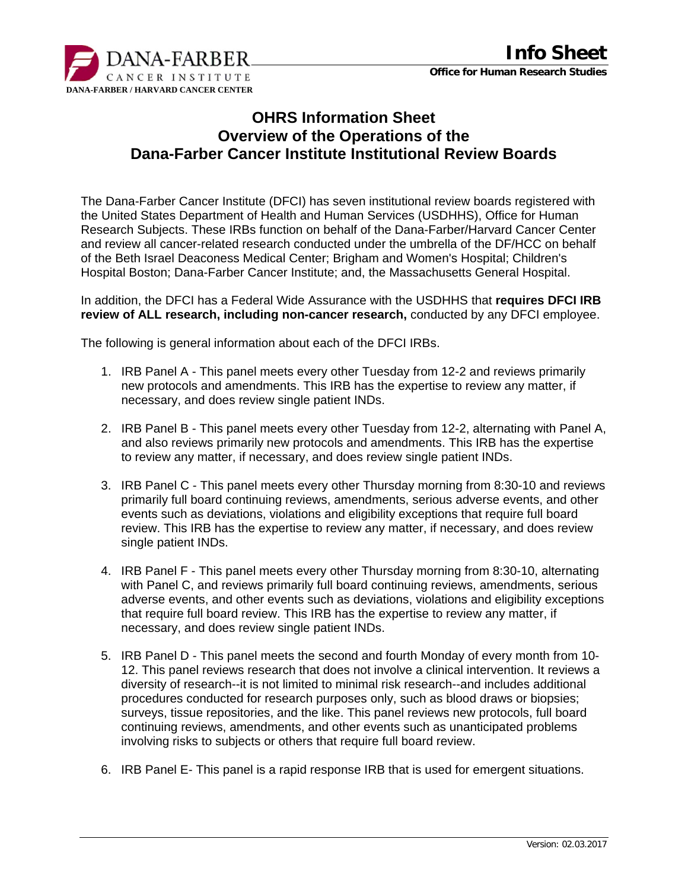

## **OHRS Information Sheet Overview of the Operations of the Dana-Farber Cancer Institute Institutional Review Boards**

The Dana-Farber Cancer Institute (DFCI) has seven institutional review boards registered with the United States Department of Health and Human Services (USDHHS), Office for Human Research Subjects. These IRBs function on behalf of the Dana-Farber/Harvard Cancer Center and review all cancer-related research conducted under the umbrella of the DF/HCC on behalf of the Beth Israel Deaconess Medical Center; Brigham and Women's Hospital; Children's Hospital Boston; Dana-Farber Cancer Institute; and, the Massachusetts General Hospital.

In addition, the DFCI has a Federal Wide Assurance with the USDHHS that **requires DFCI IRB review of ALL research, including non-cancer research,** conducted by any DFCI employee.

The following is general information about each of the DFCI IRBs.

- 1. IRB Panel A This panel meets every other Tuesday from 12-2 and reviews primarily new protocols and amendments. This IRB has the expertise to review any matter, if necessary, and does review single patient INDs.
- 2. IRB Panel B This panel meets every other Tuesday from 12-2, alternating with Panel A, and also reviews primarily new protocols and amendments. This IRB has the expertise to review any matter, if necessary, and does review single patient INDs.
- 3. IRB Panel C This panel meets every other Thursday morning from 8:30-10 and reviews primarily full board continuing reviews, amendments, serious adverse events, and other events such as deviations, violations and eligibility exceptions that require full board review. This IRB has the expertise to review any matter, if necessary, and does review single patient INDs.
- 4. IRB Panel F This panel meets every other Thursday morning from 8:30-10, alternating with Panel C, and reviews primarily full board continuing reviews, amendments, serious adverse events, and other events such as deviations, violations and eligibility exceptions that require full board review. This IRB has the expertise to review any matter, if necessary, and does review single patient INDs.
- 5. IRB Panel D This panel meets the second and fourth Monday of every month from 10- 12. This panel reviews research that does not involve a clinical intervention. It reviews a diversity of research--it is not limited to minimal risk research--and includes additional procedures conducted for research purposes only, such as blood draws or biopsies; surveys, tissue repositories, and the like. This panel reviews new protocols, full board continuing reviews, amendments, and other events such as unanticipated problems involving risks to subjects or others that require full board review.
- 6. IRB Panel E- This panel is a rapid response IRB that is used for emergent situations.